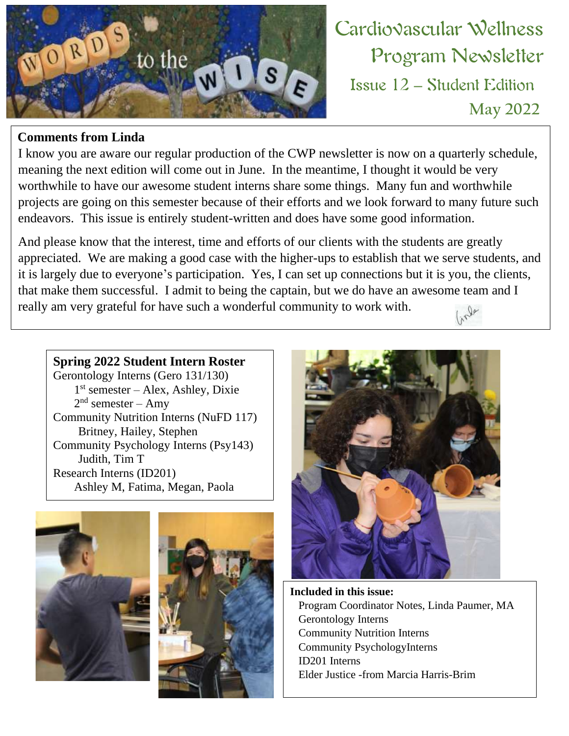

#### **Comments from Linda**

I know you are aware our regular production of the CWP newsletter is now on a quarterly schedule, meaning the next edition will come out in June. In the meantime, I thought it would be very worthwhile to have our awesome student interns share some things. Many fun and worthwhile projects are going on this semester because of their efforts and we look forward to many future such endeavors. This issue is entirely student-written and does have some good information.

And please know that the interest, time and efforts of our clients with the students are greatly appreciated. We are making a good case with the higher-ups to establish that we serve students, and it is largely due to everyone's participation. Yes, I can set up connections but it is you, the clients, that make them successful. I admit to being the captain, but we do have an awesome team and I really am very grateful for have such a wonderful community to work with.  $\psi_{\gamma_{\gamma}}$ 

**Spring 2022 Student Intern Roster**

Gerontology Interns (Gero 131/130) 1 st semester – Alex, Ashley, Dixie  $2<sup>nd</sup>$  semester – Amy Community Nutrition Interns (NuFD 117) Britney, Hailey, Stephen Community Psychology Interns (Psy143) Judith, Tim T Research Interns (ID201) Ashley M, Fatima, Megan, Paola







Issue 12 – Student Edition

Program Newsletter

**May 2022**

**Included in this issue:** Program Coordinator Notes, Linda Paumer, MA Gerontology Interns Community Nutrition Interns Community PsychologyInterns ID201 Interns Elder Justice -from Marcia Harris-Brim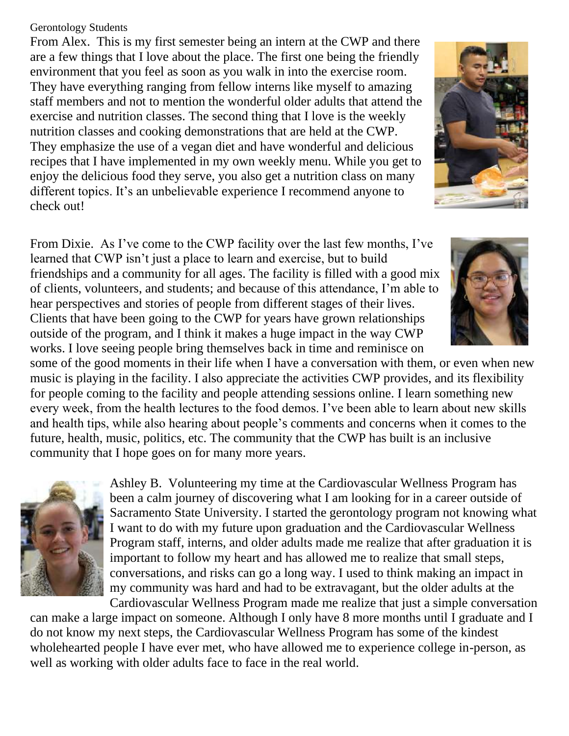#### Gerontology Students

From Alex. This is my first semester being an intern at the CWP and there are a few things that I love about the place. The first one being the friendly environment that you feel as soon as you walk in into the exercise room. They have everything ranging from fellow interns like myself to amazing staff members and not to mention the wonderful older adults that attend the exercise and nutrition classes. The second thing that I love is the weekly nutrition classes and cooking demonstrations that are held at the CWP. They emphasize the use of a vegan diet and have wonderful and delicious recipes that I have implemented in my own weekly menu. While you get to enjoy the delicious food they serve, you also get a nutrition class on many different topics. It's an unbelievable experience I recommend anyone to check out!

From Dixie. As I've come to the CWP facility over the last few months, I've learned that CWP isn't just a place to learn and exercise, but to build friendships and a community for all ages. The facility is filled with a good mix of clients, volunteers, and students; and because of this attendance, I'm able to hear perspectives and stories of people from different stages of their lives. Clients that have been going to the CWP for years have grown relationships outside of the program, and I think it makes a huge impact in the way CWP works. I love seeing people bring themselves back in time and reminisce on

some of the good moments in their life when I have a conversation with them, or even when new music is playing in the facility. I also appreciate the activities CWP provides, and its flexibility for people coming to the facility and people attending sessions online. I learn something new every week, from the health lectures to the food demos. I've been able to learn about new skills and health tips, while also hearing about people's comments and concerns when it comes to the future, health, music, politics, etc. The community that the CWP has built is an inclusive community that I hope goes on for many more years.



Ashley B. Volunteering my time at the Cardiovascular Wellness Program has been a calm journey of discovering what I am looking for in a career outside of Sacramento State University. I started the gerontology program not knowing what I want to do with my future upon graduation and the Cardiovascular Wellness Program staff, interns, and older adults made me realize that after graduation it is important to follow my heart and has allowed me to realize that small steps, conversations, and risks can go a long way. I used to think making an impact in my community was hard and had to be extravagant, but the older adults at the Cardiovascular Wellness Program made me realize that just a simple conversation

can make a large impact on someone. Although I only have 8 more months until I graduate and I do not know my next steps, the Cardiovascular Wellness Program has some of the kindest wholehearted people I have ever met, who have allowed me to experience college in-person, as well as working with older adults face to face in the real world.



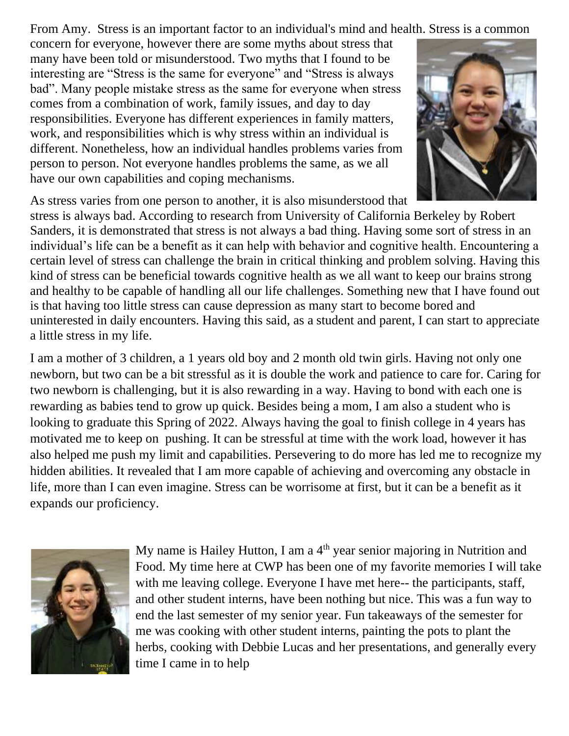From Amy. Stress is an important factor to an individual's mind and health. Stress is a common

concern for everyone, however there are some myths about stress that many have been told or misunderstood. Two myths that I found to be interesting are "Stress is the same for everyone" and "Stress is always bad". Many people mistake stress as the same for everyone when stress comes from a combination of work, family issues, and day to day responsibilities. Everyone has different experiences in family matters, work, and responsibilities which is why stress within an individual is different. Nonetheless, how an individual handles problems varies from person to person. Not everyone handles problems the same, as we all have our own capabilities and coping mechanisms.



As stress varies from one person to another, it is also misunderstood that

stress is always bad. According to research from University of California Berkeley by Robert Sanders, it is demonstrated that stress is not always a bad thing. Having some sort of stress in an individual's life can be a benefit as it can help with behavior and cognitive health. Encountering a certain level of stress can challenge the brain in critical thinking and problem solving. Having this kind of stress can be beneficial towards cognitive health as we all want to keep our brains strong and healthy to be capable of handling all our life challenges. Something new that I have found out is that having too little stress can cause depression as many start to become bored and uninterested in daily encounters. Having this said, as a student and parent, I can start to appreciate a little stress in my life.

I am a mother of 3 children, a 1 years old boy and 2 month old twin girls. Having not only one newborn, but two can be a bit stressful as it is double the work and patience to care for. Caring for two newborn is challenging, but it is also rewarding in a way. Having to bond with each one is rewarding as babies tend to grow up quick. Besides being a mom, I am also a student who is looking to graduate this Spring of 2022. Always having the goal to finish college in 4 years has motivated me to keep on pushing. It can be stressful at time with the work load, however it has also helped me push my limit and capabilities. Persevering to do more has led me to recognize my hidden abilities. It revealed that I am more capable of achieving and overcoming any obstacle in life, more than I can even imagine. Stress can be worrisome at first, but it can be a benefit as it expands our proficiency.



My name is Hailey Hutton, I am a  $4<sup>th</sup>$  year senior majoring in Nutrition and Food. My time here at CWP has been one of my favorite memories I will take with me leaving college. Everyone I have met here-- the participants, staff, and other student interns, have been nothing but nice. This was a fun way to end the last semester of my senior year. Fun takeaways of the semester for me was cooking with other student interns, painting the pots to plant the herbs, cooking with Debbie Lucas and her presentations, and generally every time I came in to help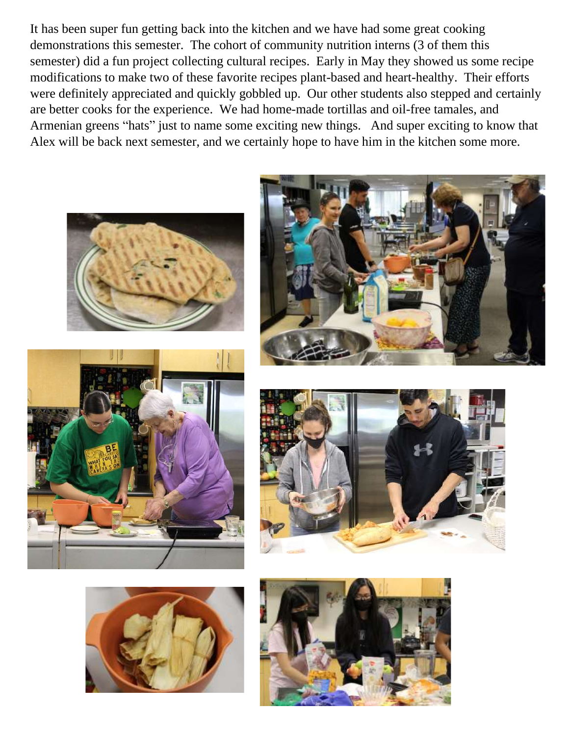It has been super fun getting back into the kitchen and we have had some great cooking demonstrations this semester. The cohort of community nutrition interns (3 of them this semester) did a fun project collecting cultural recipes. Early in May they showed us some recipe modifications to make two of these favorite recipes plant-based and heart-healthy. Their efforts were definitely appreciated and quickly gobbled up. Our other students also stepped and certainly are better cooks for the experience. We had home-made tortillas and oil-free tamales, and Armenian greens "hats" just to name some exciting new things. And super exciting to know that Alex will be back next semester, and we certainly hope to have him in the kitchen some more.











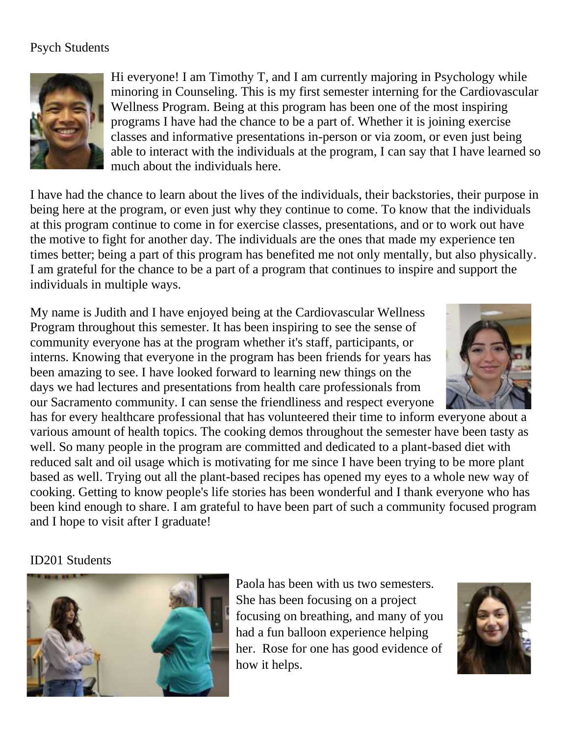## Psych Students



Hi everyone! I am Timothy T, and I am currently majoring in Psychology while minoring in Counseling. This is my first semester interning for the Cardiovascular Wellness Program. Being at this program has been one of the most inspiring programs I have had the chance to be a part of. Whether it is joining exercise classes and informative presentations in-person or via zoom, or even just being able to interact with the individuals at the program, I can say that I have learned so much about the individuals here.

I have had the chance to learn about the lives of the individuals, their backstories, their purpose in being here at the program, or even just why they continue to come. To know that the individuals at this program continue to come in for exercise classes, presentations, and or to work out have the motive to fight for another day. The individuals are the ones that made my experience ten times better; being a part of this program has benefited me not only mentally, but also physically. I am grateful for the chance to be a part of a program that continues to inspire and support the individuals in multiple ways.

My name is Judith and I have enjoyed being at the Cardiovascular Wellness Program throughout this semester. It has been inspiring to see the sense of community everyone has at the program whether it's staff, participants, or interns. Knowing that everyone in the program has been friends for years has been amazing to see. I have looked forward to learning new things on the days we had lectures and presentations from health care professionals from our Sacramento community. I can sense the friendliness and respect everyone

has for every healthcare professional that has volunteered their time to inform everyone about a various amount of health topics. The cooking demos throughout the semester have been tasty as well. So many people in the program are committed and dedicated to a plant-based diet with reduced salt and oil usage which is motivating for me since I have been trying to be more plant based as well. Trying out all the plant-based recipes has opened my eyes to a whole new way of cooking. Getting to know people's life stories has been wonderful and I thank everyone who has been kind enough to share. I am grateful to have been part of such a community focused program and I hope to visit after I graduate!

### ID201 Students



Paola has been with us two semesters. She has been focusing on a project focusing on breathing, and many of you had a fun balloon experience helping her. Rose for one has good evidence of how it helps.

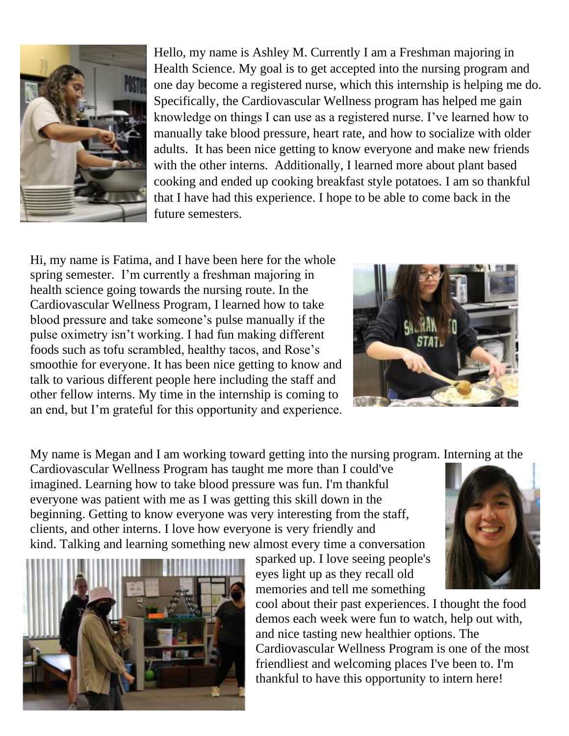

Hello, my name is Ashley M. Currently I am a Freshman majoring in Health Science. My goal is to get accepted into the nursing program and one day become a registered nurse, which this internship is helping me do. Specifically, the Cardiovascular Wellness program has helped me gain knowledge on things I can use as a registered nurse. I've learned how to manually take blood pressure, heart rate, and how to socialize with older adults. It has been nice getting to know everyone and make new friends with the other interns. Additionally, I learned more about plant based cooking and ended up cooking breakfast style potatoes. I am so thankful that I have had this experience. I hope to be able to come back in the future semesters.

Hi, my name is Fatima, and I have been here for the whole spring semester. I'm currently a freshman majoring in health science going towards the nursing route. In the Cardiovascular Wellness Program, I learned how to take blood pressure and take someone's pulse manually if the pulse oximetry isn't working. I had fun making different foods such as tofu scrambled, healthy tacos, and Rose's smoothie for everyone. It has been nice getting to know and talk to various different people here including the staff and other fellow interns. My time in the internship is coming to an end, but I'm grateful for this opportunity and experience.



My name is Megan and I am working toward getting into the nursing program. Interning at the

Cardiovascular Wellness Program has taught me more than I could've imagined. Learning how to take blood pressure was fun. I'm thankful everyone was patient with me as I was getting this skill down in the beginning. Getting to know everyone was very interesting from the staff, clients, and other interns. I love how everyone is very friendly and kind. Talking and learning something new almost every time a conversation



sparked up. I love seeing people's eyes light up as they recall old memories and tell me something



cool about their past experiences. I thought the food demos each week were fun to watch, help out with, and nice tasting new healthier options. The Cardiovascular Wellness Program is one of the most friendliest and welcoming places I've been to. I'm thankful to have this opportunity to intern here!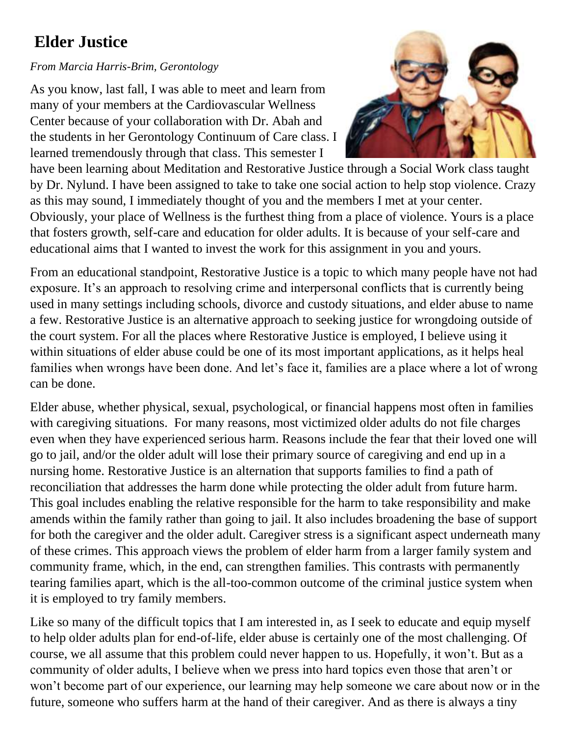# **Elder Justice**

#### *From Marcia Harris-Brim, Gerontology*

As you know, last fall, I was able to meet and learn from many of your members at the Cardiovascular Wellness Center because of your collaboration with Dr. Abah and the students in her Gerontology Continuum of Care class. I learned tremendously through that class. This semester I



have been learning about Meditation and Restorative Justice through a Social Work class taught by Dr. Nylund. I have been assigned to take to take one social action to help stop violence. Crazy as this may sound, I immediately thought of you and the members I met at your center. Obviously, your place of Wellness is the furthest thing from a place of violence. Yours is a place that fosters growth, self-care and education for older adults. It is because of your self-care and educational aims that I wanted to invest the work for this assignment in you and yours.

From an educational standpoint, Restorative Justice is a topic to which many people have not had exposure. It's an approach to resolving crime and interpersonal conflicts that is currently being used in many settings including schools, divorce and custody situations, and elder abuse to name a few. Restorative Justice is an alternative approach to seeking justice for wrongdoing outside of the court system. For all the places where Restorative Justice is employed, I believe using it within situations of elder abuse could be one of its most important applications, as it helps heal families when wrongs have been done. And let's face it, families are a place where a lot of wrong can be done.

Elder abuse, whether physical, sexual, psychological, or financial happens most often in families with caregiving situations. For many reasons, most victimized older adults do not file charges even when they have experienced serious harm. Reasons include the fear that their loved one will go to jail, and/or the older adult will lose their primary source of caregiving and end up in a nursing home. Restorative Justice is an alternation that supports families to find a path of reconciliation that addresses the harm done while protecting the older adult from future harm. This goal includes enabling the relative responsible for the harm to take responsibility and make amends within the family rather than going to jail. It also includes broadening the base of support for both the caregiver and the older adult. Caregiver stress is a significant aspect underneath many of these crimes. This approach views the problem of elder harm from a larger family system and community frame, which, in the end, can strengthen families. This contrasts with permanently tearing families apart, which is the all-too-common outcome of the criminal justice system when it is employed to try family members.

Like so many of the difficult topics that I am interested in, as I seek to educate and equip myself to help older adults plan for end-of-life, elder abuse is certainly one of the most challenging. Of course, we all assume that this problem could never happen to us. Hopefully, it won't. But as a community of older adults, I believe when we press into hard topics even those that aren't or won't become part of our experience, our learning may help someone we care about now or in the future, someone who suffers harm at the hand of their caregiver. And as there is always a tiny